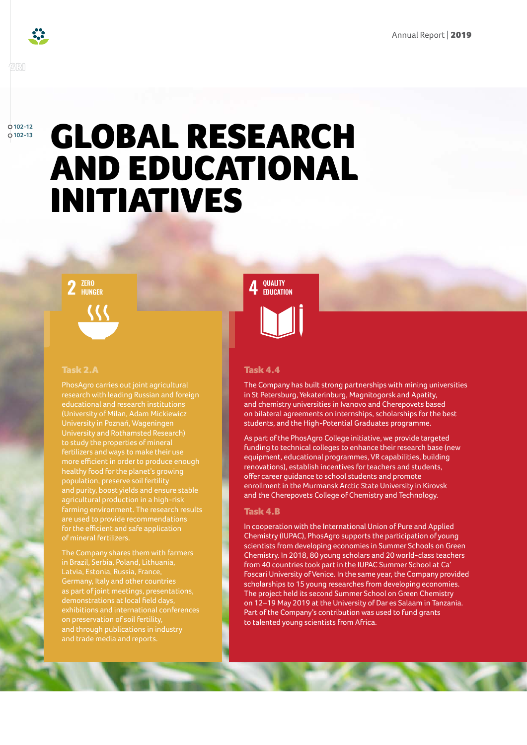

### GRI

**102-12 102-13**

# GLOBAL RESEARCH AND EDUCATIONAL INITIATIVES



# Task 2.A

PhosAgro carries out joint agricultural research with leading Russian and foreign University in Poznań, Wageningen to study the properties of mineral more efficient in order to produce enough healthy food for the planet's growing population, preserve soil fertility and purity, boost yields and ensure stable agricultural production in a high-risk farming environment. The research results are used to provide recommendations for the efficient and safe application of mineral fertilizers.

The Company shares them with farmers Germany, Italy and other countries demonstrations at local field days, and through publications in industry and trade media and reports.



# Task 4.4

The Company has built strong partnerships with mining universities in St Petersburg, Yekaterinburg, Magnitogorsk and Apatity, and chemistry universities in Ivanovo and Cherepovets based on bilateral agreements on internships, scholarships for the best students, and the High-Potential Graduates programme.

As part of the PhosAgro College initiative, we provide targeted funding to technical colleges to enhance their research base (new equipment, educational programmes, VR capabilities, building renovations), establish incentives for teachers and students, offer career guidance to school students and promote enrollment in the Murmansk Arctic State University in Kirovsk and the Cherepovets College of Chemistry and Technology.

#### Task 4.B

In cooperation with the International Union of Pure and Applied Chemistry (IUPAC), PhosAgro supports the participation of young scientists from developing economies in Summer Schools on Green Chemistry. In 2018, 80 young scholars and 20 world-class teachers from 40 countries took part in the IUPAC Summer School at Ca' Foscari University of Venice. In the same year, the Company provided scholarships to 15 young researches from developing economies. The project held its second Summer School on Green Chemistry on 12–19 May 2019 at the University of Dar es Salaam in Tanzania. Part of the Company's contribution was used to fund grants to talented young scientists from Africa.